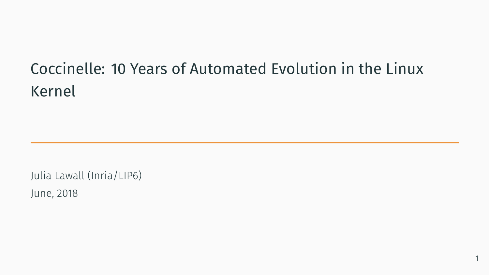# Coccinelle: 10 Years of Automated Evolution in the Linux Kernel

1

Julia Lawall (Inria/LIP6) June, 2018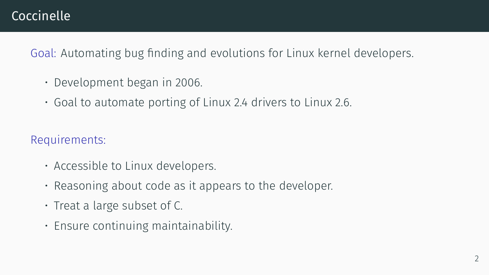# Coccinelle

Goal: Automating bug finding and evolutions for Linux kernel developers.

- Development began in 2006.
- Goal to automate porting of Linux 2.4 drivers to Linux 2.6.

Requirements:

- Accessible to Linux developers.
- Reasoning about code as it appears to the developer.
- Treat a large subset of C.
- Ensure continuing maintainability.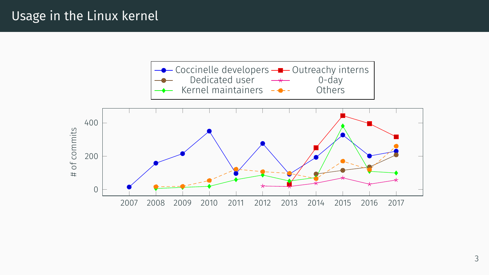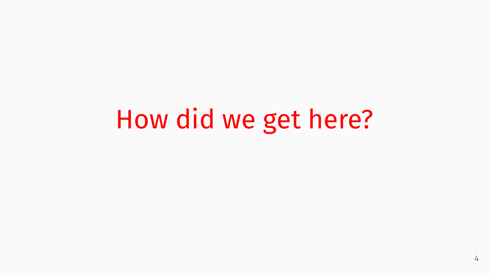# How did we get here?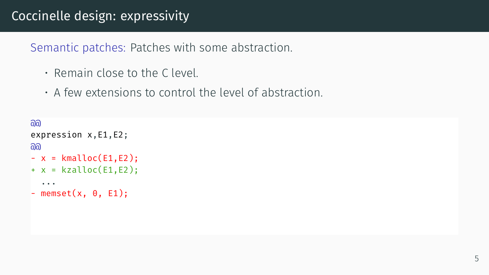# Coccinelle design: expressivity

Semantic patches: Patches with some abstraction.

- Remain close to the C level.
- A few extensions to control the level of abstraction.

```
\partial \partialexpression x,E1,E2;
രി
- x = kmalloc(E1,E2);
+ x = kzalloc(E1,E2);
  ...
- memset(x, 0, E1);
```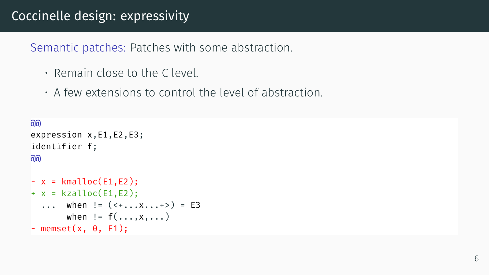# Coccinelle design: expressivity

Semantic patches: Patches with some abstraction.

- Remain close to the C level.
- A few extensions to control the level of abstraction.

```
രി
expression x,E1,E2,E3;
identifier f;
@@
- x = kmalloc(E1,E2);
+ x = kzalloc(E1,E2);
  ... when != (<+...x...)> = E3
       when != f(\ldots, x, \ldots)- memset(x, 0, E1);
```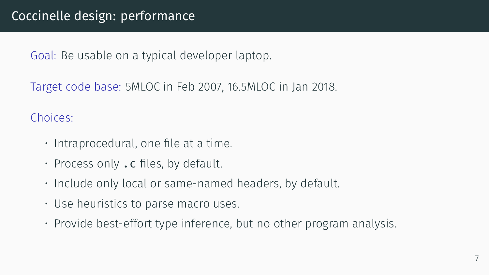Goal: Be usable on a typical developer laptop.

Target code base: 5MLOC in Feb 2007, 16.5MLOC in Jan 2018.

Choices:

- Intraprocedural, one file at a time.
- $\cdot$  Process only . c files, by default.
- Include only local or same-named headers, by default.
- Use heuristics to parse macro uses.
- Provide best-effort type inference, but no other program analysis.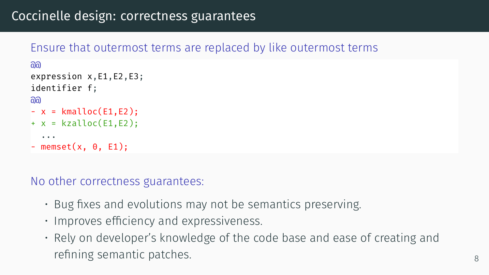# Coccinelle design: correctness guarantees

#### Ensure that outermost terms are replaced by like outermost terms

```
\overline{a}expression x,E1,E2,E3;
identifier f;
ିଲର
- x = kmalloc(E1,E2);
+ x = kzalloc(E1.E2):
  ...
- memset(x, 0, E1);
```
No other correctness guarantees:

- Bug fixes and evolutions may not be semantics preserving.
- Improves efficiency and expressiveness.
- Rely on developer's knowledge of the code base and ease of creating and refining semantic patches. **8** a semi-major semi-major semi-major semi-major semi-major semi-major semi-major se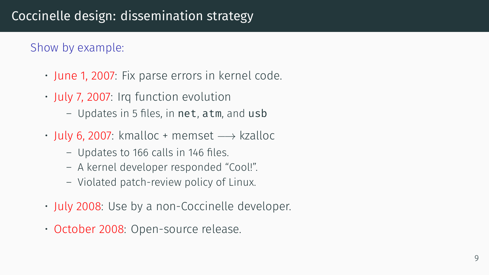#### Show by example:

- June 1, 2007: Fix parse errors in kernel code.
- July 7, 2007: Irq function evolution
	- Updates in 5 files, in net, atm, and usb
- July 6, 2007: kmalloc + memset *−→* kzalloc
	- Updates to 166 calls in 146 files.
	- A kernel developer responded "Cool!".
	- Violated patch-review policy of Linux.
- July 2008: Use by a non-Coccinelle developer.
- October 2008: Open-source release.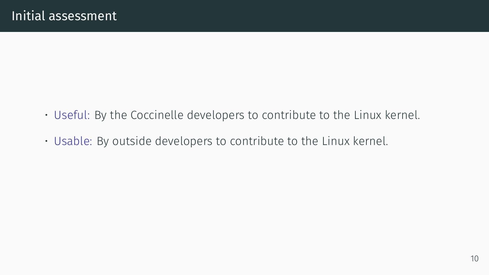- Useful: By the Coccinelle developers to contribute to the Linux kernel.
- Usable: By outside developers to contribute to the Linux kernel.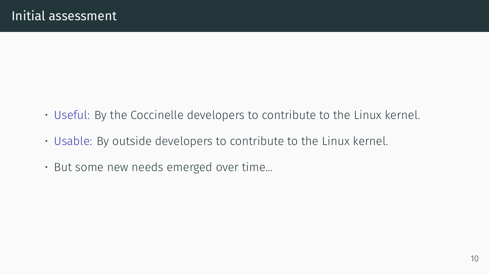- Useful: By the Coccinelle developers to contribute to the Linux kernel.
- Usable: By outside developers to contribute to the Linux kernel.
- But some new needs emerged over time...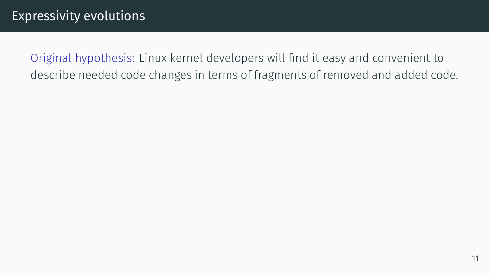Original hypothesis: Linux kernel developers will find it easy and convenient to describe needed code changes in terms of fragments of removed and added code.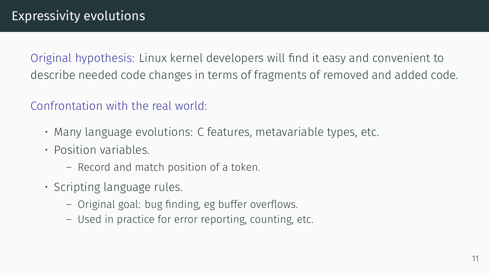Original hypothesis: Linux kernel developers will find it easy and convenient to describe needed code changes in terms of fragments of removed and added code.

#### Confrontation with the real world:

- Many language evolutions: C features, metavariable types, etc.
- Position variables.
	- Record and match position of a token.
- Scripting language rules.
	- Original goal: bug finding, eg buffer overflows.
	- Used in practice for error reporting, counting, etc.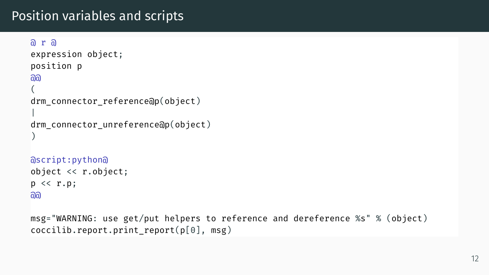# Position variables and scripts

```
n r aexpression object;
position p
@@
(
drm connector reference@p(object)
|
drm connector unreference@p(object)
)
```

```
@script:python@
object << r.object;
p \ll r.p;\overline{a}
```
msg="WARNING: use get/put helpers to reference and dereference %s" % (object)  $cocilib.report.println$  report.print report(p[0], msg)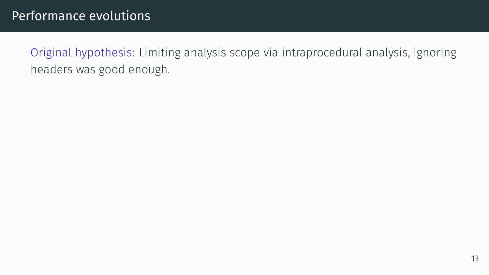Original hypothesis: Limiting analysis scope via intraprocedural analysis, ignoring headers was good enough.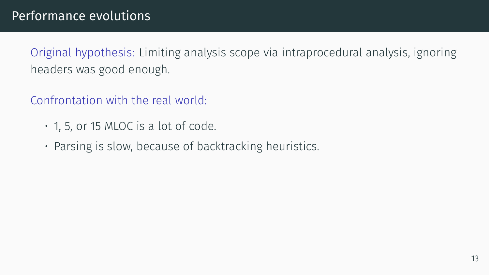Original hypothesis: Limiting analysis scope via intraprocedural analysis, ignoring headers was good enough.

Confrontation with the real world:

- $\cdot$  1, 5, or 15 MLOC is a lot of code.
- Parsing is slow, because of backtracking heuristics.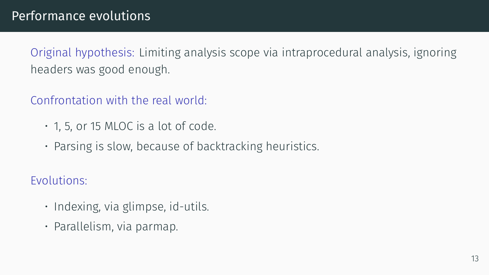Original hypothesis: Limiting analysis scope via intraprocedural analysis, ignoring headers was good enough.

Confrontation with the real world:

- 1, 5, or 15 MLOC is a lot of code.
- Parsing is slow, because of backtracking heuristics.

Evolutions:

- Indexing, via glimpse, id-utils.
- Parallelism, via parmap.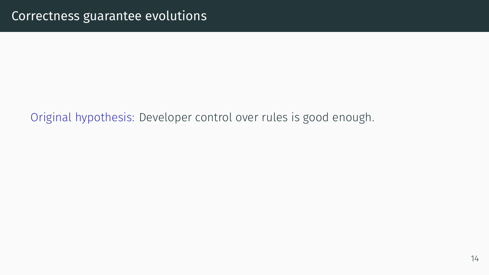Original hypothesis: Developer control over rules is good enough.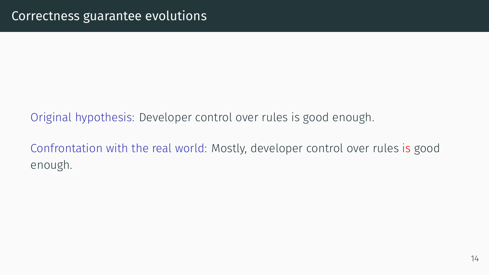### Original hypothesis: Developer control over rules is good enough.

Confrontation with the real world: Mostly, developer control over rules is good enough.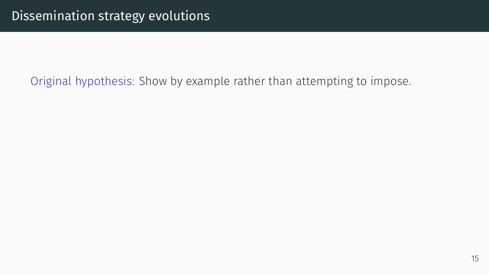#### Original hypothesis: Show by example rather than attempting to impose.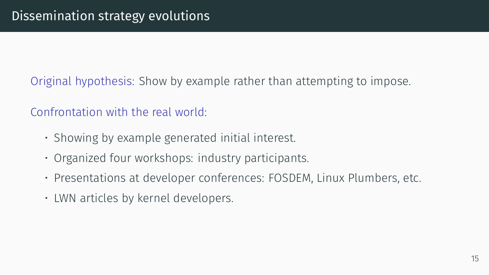Original hypothesis: Show by example rather than attempting to impose.

Confrontation with the real world:

- Showing by example generated initial interest.
- Organized four workshops: industry participants.
- Presentations at developer conferences: FOSDEM, Linux Plumbers, etc.
- LWN articles by kernel developers.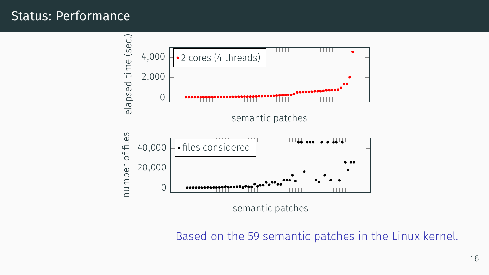#### Status: Performance



Based on the 59 semantic patches in the Linux kernel.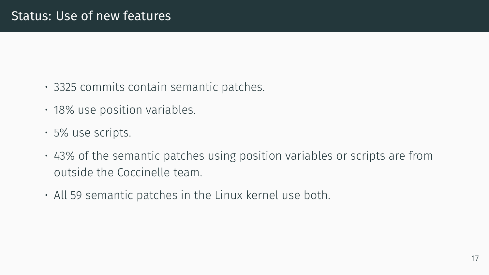- 3325 commits contain semantic patches.
- 18% use position variables.
- 5% use scripts.
- 43% of the semantic patches using position variables or scripts are from outside the Coccinelle team.
- All 59 semantic patches in the Linux kernel use both.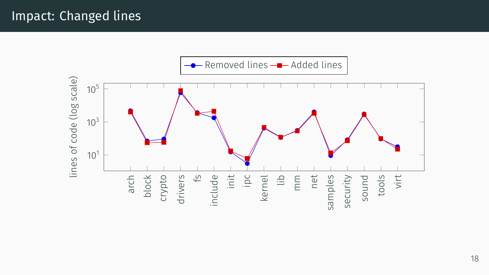# Impact: Changed lines

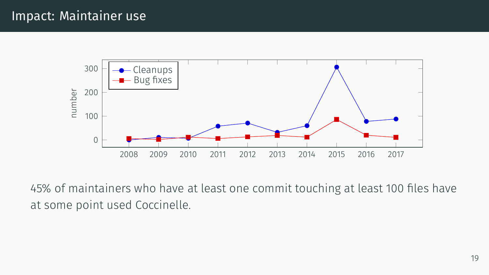

45% of maintainers who have at least one commit touching at least 100 files have at some point used Coccinelle.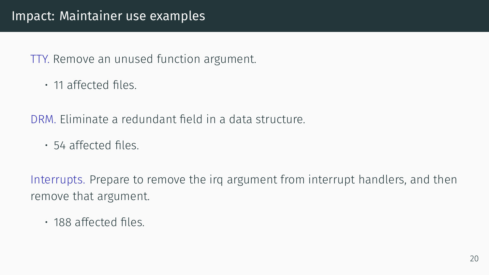# Impact: Maintainer use examples

#### TTY. Remove an unused function argument.

• 11 affected files.

DRM. Eliminate a redundant field in a data structure.

• 54 affected files.

Interrupts. Prepare to remove the irq argument from interrupt handlers, and then remove that argument.

• 188 affected files.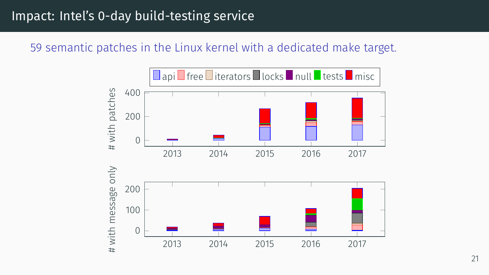# Impact: Intel's 0-day build-testing service

#### 59 semantic patches in the Linux kernel with a dedicated make target.

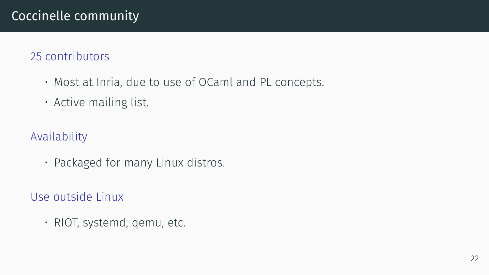#### 25 contributors

- Most at Inria, due to use of OCaml and PL concepts.
- Active mailing list.

#### Availability

• Packaged for many Linux distros.

Use outside Linux

• RIOT, systemd, qemu, etc.